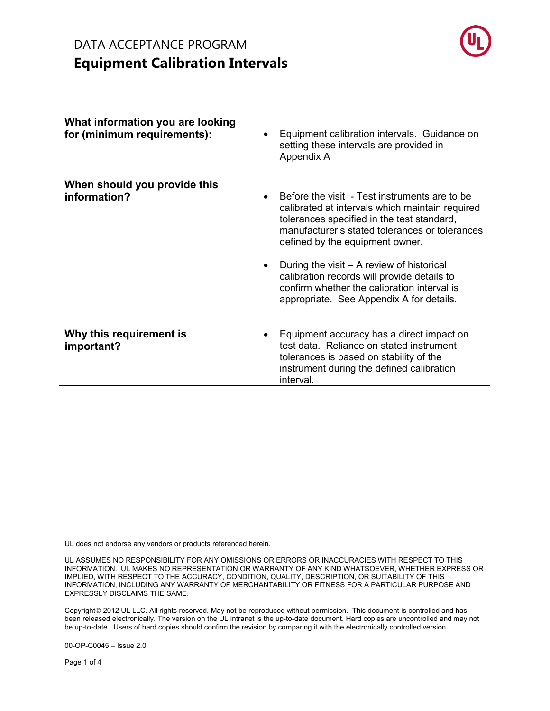# DATA ACCEPTANCE PROGRAM **Equipment Calibration Intervals**



| What information you are looking<br>for (minimum requirements): | Equipment calibration intervals. Guidance on<br>setting these intervals are provided in<br>Appendix A                                                                                                                               |
|-----------------------------------------------------------------|-------------------------------------------------------------------------------------------------------------------------------------------------------------------------------------------------------------------------------------|
| When should you provide this<br>information?                    | Before the visit - Test instruments are to be<br>calibrated at intervals which maintain required<br>tolerances specified in the test standard,<br>manufacturer's stated tolerances or tolerances<br>defined by the equipment owner. |
|                                                                 | During the visit $-$ A review of historical<br>calibration records will provide details to<br>confirm whether the calibration interval is<br>appropriate. See Appendix A for details.                                               |
| Why this requirement is<br>important?                           | Equipment accuracy has a direct impact on<br>test data. Reliance on stated instrument<br>tolerances is based on stability of the<br>instrument during the defined calibration<br>interval.                                          |

UL does not endorse any vendors or products referenced herein.

UL ASSUMES NO RESPONSIBILITY FOR ANY OMISSIONS OR ERRORS OR INACCURACIES WITH RESPECT TO THIS INFORMATION. UL MAKES NO REPRESENTATION OR WARRANTY OF ANY KIND WHATSOEVER, WHETHER EXPRESS OR IMPLIED, WITH RESPECT TO THE ACCURACY, CONDITION, QUALITY, DESCRIPTION, OR SUITABILITY OF THIS INFORMATION, INCLUDING ANY WARRANTY OF MERCHANTABILITY OR FITNESS FOR A PARTICULAR PURPOSE AND EXPRESSLY DISCLAIMS THE SAME.

Copyright<sup>©</sup> 2012 UL LLC. All rights reserved. May not be reproduced without permission. This document is controlled and has been released electronically. The version on the UL intranet is the up-to-date document. Hard copies are uncontrolled and may not be up-to-date. Users of hard copies should confirm the revision by comparing it with the electronically controlled version.

00-OP-C0045 – Issue 2.0

Page 1 of 4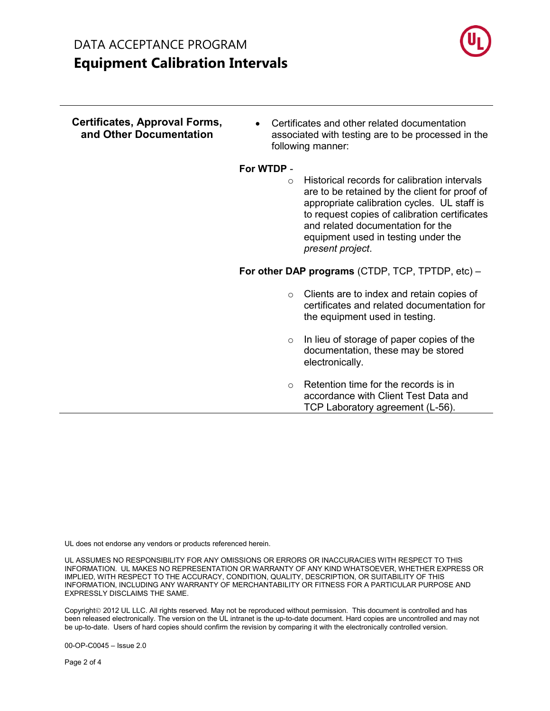# DATA ACCEPTANCE PROGRAM **Equipment Calibration Intervals**



| Certificates, Approval Forms,<br>and Other Documentation | Certificates and other related documentation<br>$\bullet$<br>associated with testing are to be processed in the<br>following manner:                                                                                                                                                                     |  |
|----------------------------------------------------------|----------------------------------------------------------------------------------------------------------------------------------------------------------------------------------------------------------------------------------------------------------------------------------------------------------|--|
|                                                          | For WTDP -                                                                                                                                                                                                                                                                                               |  |
|                                                          | Historical records for calibration intervals<br>$\circ$<br>are to be retained by the client for proof of<br>appropriate calibration cycles. UL staff is<br>to request copies of calibration certificates<br>and related documentation for the<br>equipment used in testing under the<br>present project. |  |
|                                                          | For other DAP programs (CTDP, TCP, TPTDP, etc) -                                                                                                                                                                                                                                                         |  |
|                                                          | Clients are to index and retain copies of<br>$\circ$<br>certificates and related documentation for<br>the equipment used in testing.                                                                                                                                                                     |  |
|                                                          | In lieu of storage of paper copies of the<br>$\circ$<br>documentation, these may be stored<br>electronically.                                                                                                                                                                                            |  |
|                                                          | Retention time for the records is in<br>$\Omega$<br>accordance with Client Test Data and<br>TCP Laboratory agreement (L-56).                                                                                                                                                                             |  |

UL does not endorse any vendors or products referenced herein.

UL ASSUMES NO RESPONSIBILITY FOR ANY OMISSIONS OR ERRORS OR INACCURACIES WITH RESPECT TO THIS INFORMATION. UL MAKES NO REPRESENTATION OR WARRANTY OF ANY KIND WHATSOEVER, WHETHER EXPRESS OR IMPLIED, WITH RESPECT TO THE ACCURACY, CONDITION, QUALITY, DESCRIPTION, OR SUITABILITY OF THIS INFORMATION, INCLUDING ANY WARRANTY OF MERCHANTABILITY OR FITNESS FOR A PARTICULAR PURPOSE AND EXPRESSLY DISCLAIMS THE SAME.

Copyright<sup>©</sup> 2012 UL LLC. All rights reserved. May not be reproduced without permission. This document is controlled and has been released electronically. The version on the UL intranet is the up-to-date document. Hard copies are uncontrolled and may not be up-to-date. Users of hard copies should confirm the revision by comparing it with the electronically controlled version.

00-OP-C0045 – Issue 2.0

Page 2 of 4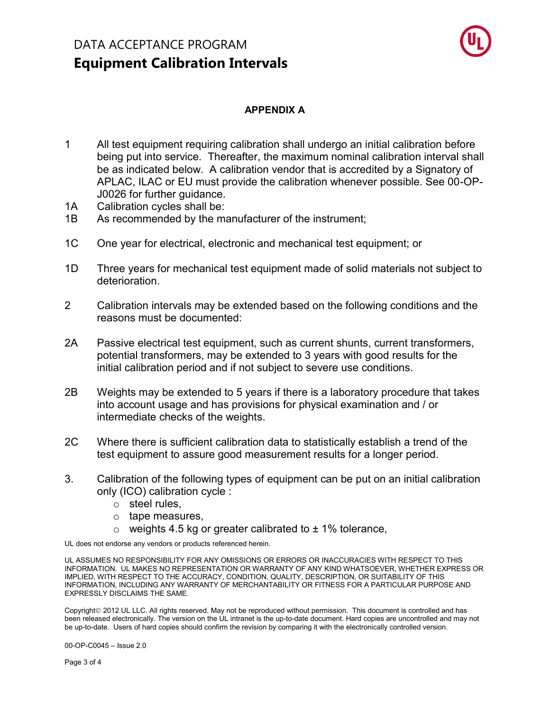## DATA ACCEPTANCE PROGRAM **Equipment Calibration Intervals**



#### **APPENDIX A**

- 1 All test equipment requiring calibration shall undergo an initial calibration before being put into service. Thereafter, the maximum nominal calibration interval shall be as indicated below. A calibration vendor that is accredited by a Signatory of APLAC, ILAC or EU must provide the calibration whenever possible. See 00-OP-J0026 for further guidance.
- 1A Calibration cycles shall be:
- 1B As recommended by the manufacturer of the instrument;
- 1C One year for electrical, electronic and mechanical test equipment; or
- 1D Three years for mechanical test equipment made of solid materials not subject to deterioration.
- 2 Calibration intervals may be extended based on the following conditions and the reasons must be documented:
- 2A Passive electrical test equipment, such as current shunts, current transformers, potential transformers, may be extended to 3 years with good results for the initial calibration period and if not subject to severe use conditions.
- 2B Weights may be extended to 5 years if there is a laboratory procedure that takes into account usage and has provisions for physical examination and / or intermediate checks of the weights.
- 2C Where there is sufficient calibration data to statistically establish a trend of the test equipment to assure good measurement results for a longer period.
- 3. Calibration of the following types of equipment can be put on an initial calibration only (ICO) calibration cycle :
	- o steel rules,
	- o tape measures,
	- $\circ$  weights 4.5 kg or greater calibrated to  $\pm$  1% tolerance,

UL does not endorse any vendors or products referenced herein.

UL ASSUMES NO RESPONSIBILITY FOR ANY OMISSIONS OR ERRORS OR INACCURACIES WITH RESPECT TO THIS INFORMATION. UL MAKES NO REPRESENTATION OR WARRANTY OF ANY KIND WHATSOEVER, WHETHER EXPRESS OR IMPLIED, WITH RESPECT TO THE ACCURACY, CONDITION, QUALITY, DESCRIPTION, OR SUITABILITY OF THIS INFORMATION, INCLUDING ANY WARRANTY OF MERCHANTABILITY OR FITNESS FOR A PARTICULAR PURPOSE AND EXPRESSLY DISCLAIMS THE SAME.

Copyright<sup>©</sup> 2012 UL LLC. All rights reserved. May not be reproduced without permission. This document is controlled and has been released electronically. The version on the UL intranet is the up-to-date document. Hard copies are uncontrolled and may not be up-to-date. Users of hard copies should confirm the revision by comparing it with the electronically controlled version.

00-OP-C0045 – Issue 2.0

Page 3 of 4